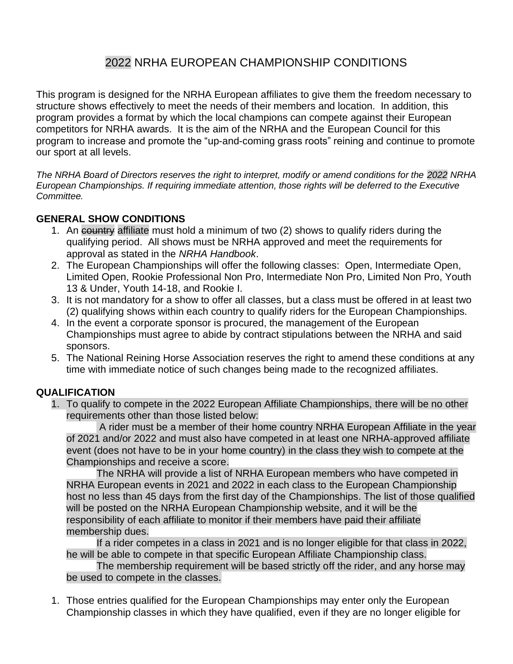## 2022 NRHA EUROPEAN CHAMPIONSHIP CONDITIONS

This program is designed for the NRHA European affiliates to give them the freedom necessary to structure shows effectively to meet the needs of their members and location. In addition, this program provides a format by which the local champions can compete against their European competitors for NRHA awards. It is the aim of the NRHA and the European Council for this program to increase and promote the "up-and-coming grass roots" reining and continue to promote our sport at all levels.

*The NRHA Board of Directors reserves the right to interpret, modify or amend conditions for the 2022 NRHA European Championships. If requiring immediate attention, those rights will be deferred to the Executive Committee.*

## **GENERAL SHOW CONDITIONS**

- 1. An eountry affiliate must hold a minimum of two (2) shows to qualify riders during the qualifying period. All shows must be NRHA approved and meet the requirements for approval as stated in the *NRHA Handbook*.
- 2. The European Championships will offer the following classes: Open, Intermediate Open, Limited Open, Rookie Professional Non Pro, Intermediate Non Pro, Limited Non Pro, Youth 13 & Under, Youth 14-18, and Rookie I.
- 3. It is not mandatory for a show to offer all classes, but a class must be offered in at least two (2) qualifying shows within each country to qualify riders for the European Championships.
- 4. In the event a corporate sponsor is procured, the management of the European Championships must agree to abide by contract stipulations between the NRHA and said sponsors.
- 5. The National Reining Horse Association reserves the right to amend these conditions at any time with immediate notice of such changes being made to the recognized affiliates.

## **QUALIFICATION**

1. To qualify to compete in the 2022 European Affiliate Championships, there will be no other requirements other than those listed below:

A rider must be a member of their home country NRHA European Affiliate in the year of 2021 and/or 2022 and must also have competed in at least one NRHA-approved affiliate event (does not have to be in your home country) in the class they wish to compete at the Championships and receive a score.

The NRHA will provide a list of NRHA European members who have competed in NRHA European events in 2021 and 2022 in each class to the European Championship host no less than 45 days from the first day of the Championships. The list of those qualified will be posted on the NRHA European Championship website, and it will be the responsibility of each affiliate to monitor if their members have paid their affiliate membership dues.

If a rider competes in a class in 2021 and is no longer eligible for that class in 2022, he will be able to compete in that specific European Affiliate Championship class.

The membership requirement will be based strictly off the rider, and any horse may be used to compete in the classes.

1. Those entries qualified for the European Championships may enter only the European Championship classes in which they have qualified, even if they are no longer eligible for